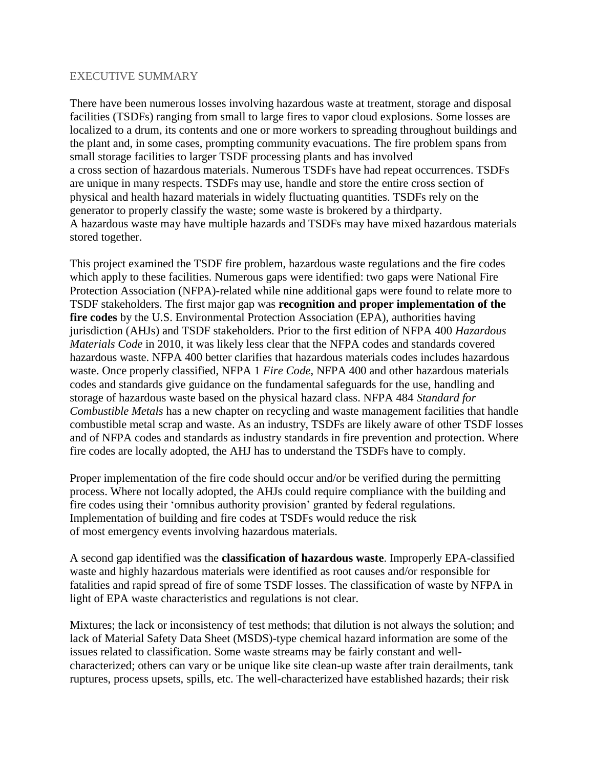## EXECUTIVE SUMMARY

There have been numerous losses involving hazardous waste at treatment, storage and disposal facilities (TSDFs) ranging from small to large fires to vapor cloud explosions. Some losses are localized to a drum, its contents and one or more workers to spreading throughout buildings and the plant and, in some cases, prompting community evacuations. The fire problem spans from small storage facilities to larger TSDF processing plants and has involved a cross section of hazardous materials. Numerous TSDFs have had repeat occurrences. TSDFs are unique in many respects. TSDFs may use, handle and store the entire cross section of physical and health hazard materials in widely fluctuating quantities. TSDFs rely on the generator to properly classify the waste; some waste is brokered by a thirdparty. A hazardous waste may have multiple hazards and TSDFs may have mixed hazardous materials stored together.

This project examined the TSDF fire problem, hazardous waste regulations and the fire codes which apply to these facilities. Numerous gaps were identified: two gaps were National Fire Protection Association (NFPA)-related while nine additional gaps were found to relate more to TSDF stakeholders. The first major gap was **recognition and proper implementation of the fire codes** by the U.S. Environmental Protection Association (EPA), authorities having jurisdiction (AHJs) and TSDF stakeholders. Prior to the first edition of NFPA 400 *Hazardous Materials Code* in 2010, it was likely less clear that the NFPA codes and standards covered hazardous waste. NFPA 400 better clarifies that hazardous materials codes includes hazardous waste. Once properly classified, NFPA 1 *Fire Code*, NFPA 400 and other hazardous materials codes and standards give guidance on the fundamental safeguards for the use, handling and storage of hazardous waste based on the physical hazard class. NFPA 484 *Standard for Combustible Metals* has a new chapter on recycling and waste management facilities that handle combustible metal scrap and waste. As an industry, TSDFs are likely aware of other TSDF losses and of NFPA codes and standards as industry standards in fire prevention and protection. Where fire codes are locally adopted, the AHJ has to understand the TSDFs have to comply.

Proper implementation of the fire code should occur and/or be verified during the permitting process. Where not locally adopted, the AHJs could require compliance with the building and fire codes using their 'omnibus authority provision' granted by federal regulations. Implementation of building and fire codes at TSDFs would reduce the risk of most emergency events involving hazardous materials.

A second gap identified was the **classification of hazardous waste**. Improperly EPA-classified waste and highly hazardous materials were identified as root causes and/or responsible for fatalities and rapid spread of fire of some TSDF losses. The classification of waste by NFPA in light of EPA waste characteristics and regulations is not clear.

Mixtures; the lack or inconsistency of test methods; that dilution is not always the solution; and lack of Material Safety Data Sheet (MSDS)-type chemical hazard information are some of the issues related to classification. Some waste streams may be fairly constant and wellcharacterized; others can vary or be unique like site clean-up waste after train derailments, tank ruptures, process upsets, spills, etc. The well-characterized have established hazards; their risk